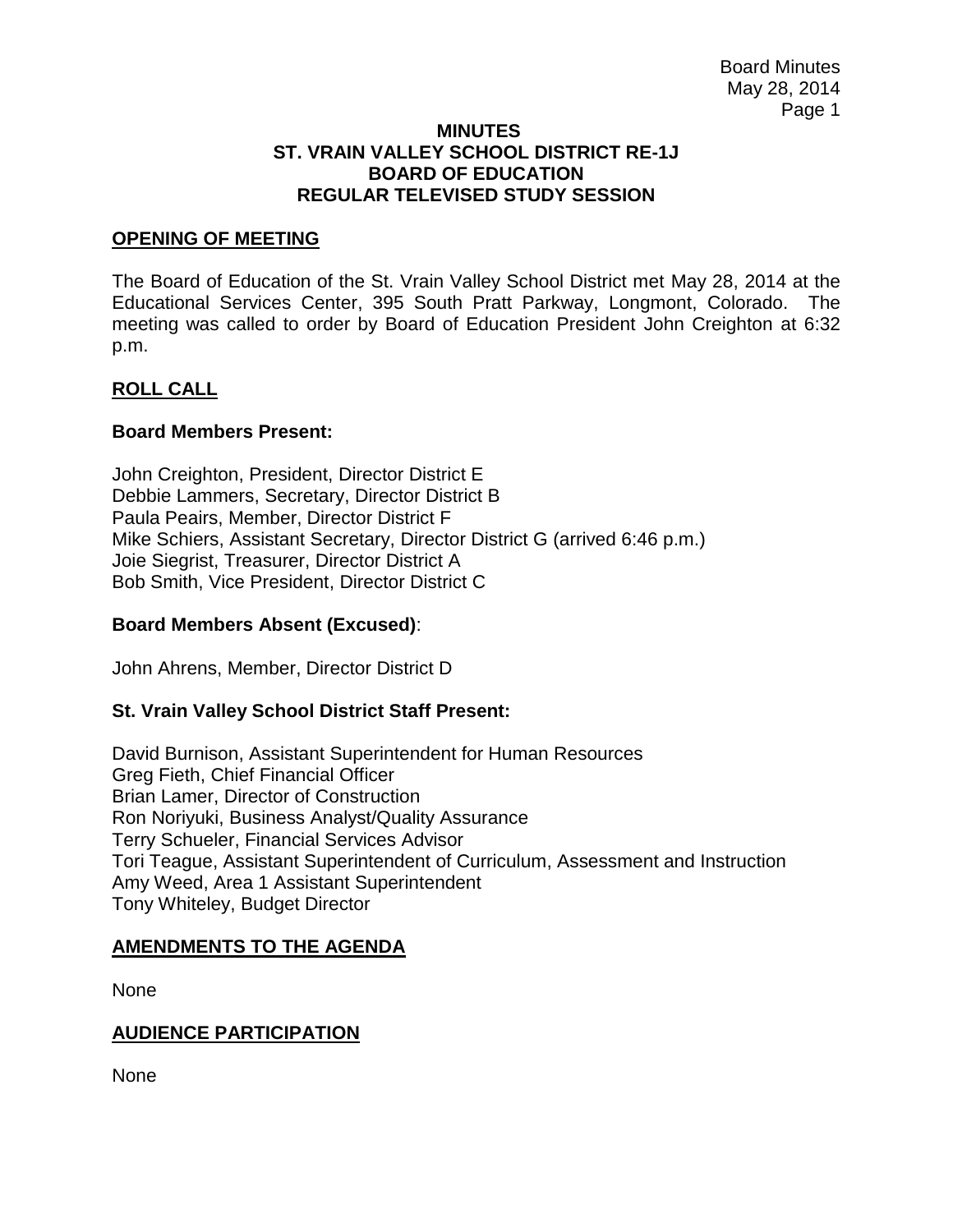#### **MINUTES ST. VRAIN VALLEY SCHOOL DISTRICT RE-1J BOARD OF EDUCATION REGULAR TELEVISED STUDY SESSION**

### **OPENING OF MEETING**

The Board of Education of the St. Vrain Valley School District met May 28, 2014 at the Educational Services Center, 395 South Pratt Parkway, Longmont, Colorado. The meeting was called to order by Board of Education President John Creighton at 6:32 p.m.

### **ROLL CALL**

### **Board Members Present:**

John Creighton, President, Director District E Debbie Lammers, Secretary, Director District B Paula Peairs, Member, Director District F Mike Schiers, Assistant Secretary, Director District G (arrived 6:46 p.m.) Joie Siegrist, Treasurer, Director District A Bob Smith, Vice President, Director District C

### **Board Members Absent (Excused)**:

John Ahrens, Member, Director District D

### **St. Vrain Valley School District Staff Present:**

David Burnison, Assistant Superintendent for Human Resources Greg Fieth, Chief Financial Officer Brian Lamer, Director of Construction Ron Noriyuki, Business Analyst/Quality Assurance Terry Schueler, Financial Services Advisor Tori Teague, Assistant Superintendent of Curriculum, Assessment and Instruction Amy Weed, Area 1 Assistant Superintendent Tony Whiteley, Budget Director

### **AMENDMENTS TO THE AGENDA**

None

# **AUDIENCE PARTICIPATION**

None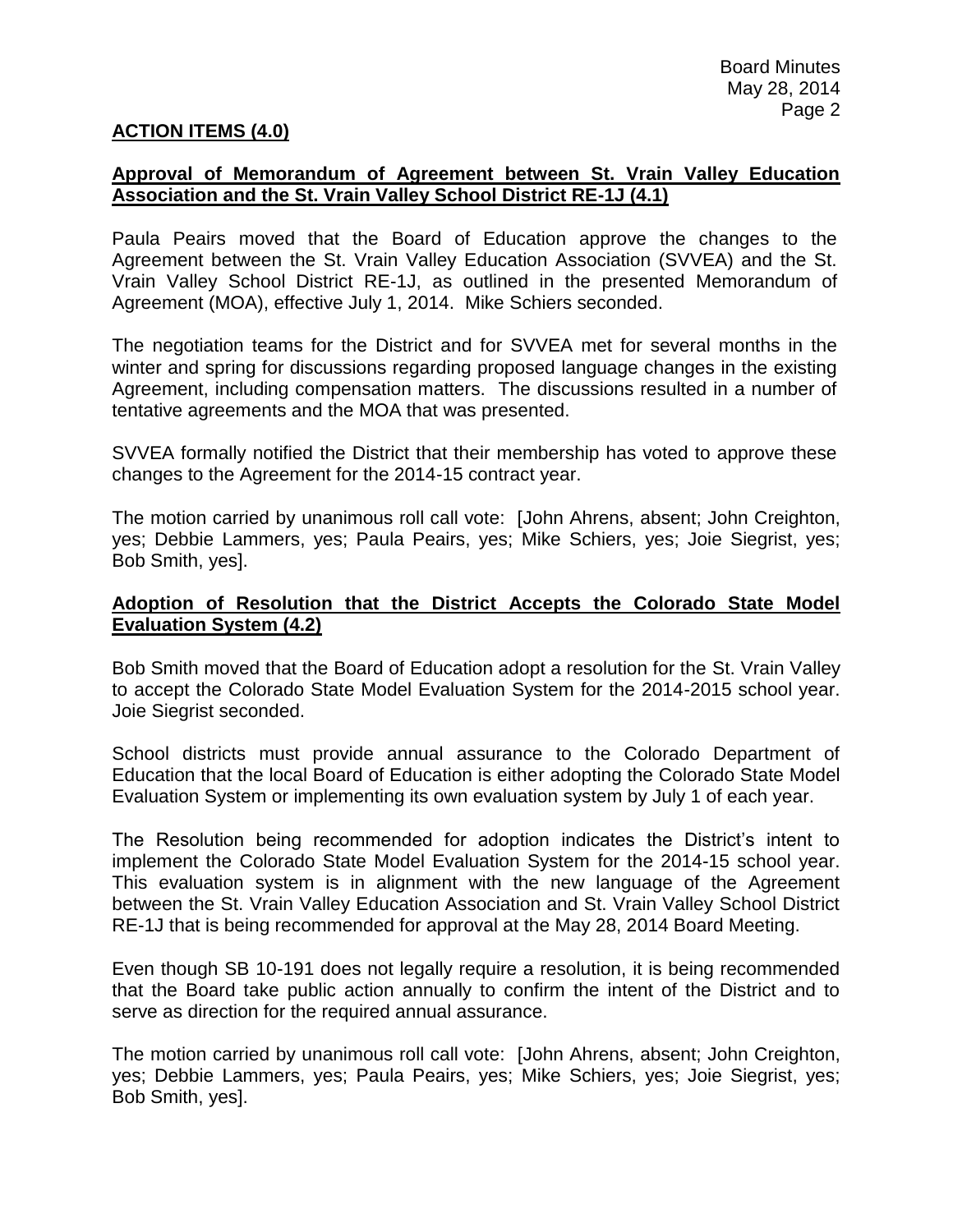### **ACTION ITEMS (4.0)**

### **Approval of Memorandum of Agreement between St. Vrain Valley Education Association and the St. Vrain Valley School District RE-1J (4.1)**

Paula Peairs moved that the Board of Education approve the changes to the Agreement between the St. Vrain Valley Education Association (SVVEA) and the St. Vrain Valley School District RE-1J, as outlined in the presented Memorandum of Agreement (MOA), effective July 1, 2014. Mike Schiers seconded.

The negotiation teams for the District and for SVVEA met for several months in the winter and spring for discussions regarding proposed language changes in the existing Agreement, including compensation matters. The discussions resulted in a number of tentative agreements and the MOA that was presented.

SVVEA formally notified the District that their membership has voted to approve these changes to the Agreement for the 2014-15 contract year.

The motion carried by unanimous roll call vote: [John Ahrens, absent; John Creighton, yes; Debbie Lammers, yes; Paula Peairs, yes; Mike Schiers, yes; Joie Siegrist, yes; Bob Smith, yes].

### **Adoption of Resolution that the District Accepts the Colorado State Model Evaluation System (4.2)**

Bob Smith moved that the Board of Education adopt a resolution for the St. Vrain Valley to accept the Colorado State Model Evaluation System for the 2014-2015 school year. Joie Siegrist seconded.

School districts must provide annual assurance to the Colorado Department of Education that the local Board of Education is either adopting the Colorado State Model Evaluation System or implementing its own evaluation system by July 1 of each year.

The Resolution being recommended for adoption indicates the District's intent to implement the Colorado State Model Evaluation System for the 2014-15 school year. This evaluation system is in alignment with the new language of the Agreement between the St. Vrain Valley Education Association and St. Vrain Valley School District RE-1J that is being recommended for approval at the May 28, 2014 Board Meeting.

Even though SB 10-191 does not legally require a resolution, it is being recommended that the Board take public action annually to confirm the intent of the District and to serve as direction for the required annual assurance.

The motion carried by unanimous roll call vote: [John Ahrens, absent; John Creighton, yes; Debbie Lammers, yes; Paula Peairs, yes; Mike Schiers, yes; Joie Siegrist, yes; Bob Smith, yes].